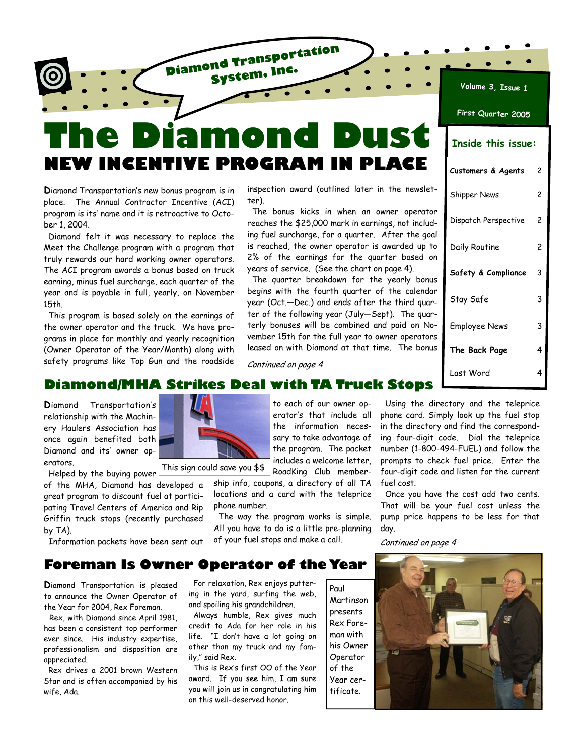# **The Diamond Dust NEW INCENTIVE PROGRAM IN PLACE**

**Diamond Transportation System, Inc.**

**D**iamond Transportation's new bonus program is in place. The Annual Contractor Incentive (ACI) program is its' name and it is retroactive to October 1, 2004.

 Diamond felt it was necessary to replace the Meet the Challenge program with a program that truly rewards our hard working owner operators. The ACI program awards a bonus based on truck earning, minus fuel surcharge, each quarter of the year and is payable in full, yearly, on November 15th.

 This program is based solely on the earnings of the owner operator and the truck. We have programs in place for monthly and yearly recognition (Owner Operator of the Year/Month) along with safety programs like Top Gun and the roadside inspection award (outlined later in the newsletter).

 The bonus kicks in when an owner operator reaches the \$25,000 mark in earnings, not including fuel surcharge, for a quarter. After the goal is reached, the owner operator is awarded up to 2% of the earnings for the quarter based on years of service. (See the chart on page 4).

 The quarter breakdown for the yearly bonus begins with the fourth quarter of the calendar year (Oct.—Dec.) and ends after the third quarter of the following year (July—Sept). The quarterly bonuses will be combined and paid on November 15th for the full year to owner operators leased on with Diamond at that time. The bonus

| First Quarter 2005        |   |  |
|---------------------------|---|--|
| <b>Inside this issue:</b> |   |  |
| Customers & Agents        | 2 |  |
| <b>Shipper News</b>       | 2 |  |
| Dispatch Perspective      | 2 |  |
| Daily Routine             | 2 |  |
| Safety & Compliance       | 3 |  |
| Stay Safe                 | 3 |  |
| Employee News             | 3 |  |
| The Back Page             | 4 |  |
| Last Word                 | 4 |  |

**Volume 3, Issue 1**

### **Diamond/MHA Strikes Deal with TA Truck Stops**

**D**iamond Transportation's relationship with the Machinery Haulers Association has once again benefited both Diamond and its' owner operators.

Helped by the buying power

of the MHA, Diamond has developed a great program to discount fuel at participating Travel Centers of America and Rip Griffin truck stops (recently purchased by TA).

Information packets have been sent out

to each of our owner operator's that include all the information necessary to take advantage of the program. The packet includes a welcome letter, This sign could save you \$\$

RoadKing Club membership info, coupons, a directory of all TA locations and a card with the teleprice phone number.

Continued on page 4

 The way the program works is simple. All you have to do is a little pre-planning of your fuel stops and make a call.

 Using the directory and the teleprice phone card. Simply look up the fuel stop in the directory and find the corresponding four-digit code. Dial the teleprice number (1-800-494-FUEL) and follow the prompts to check fuel price. Enter the four-digit code and listen for the current fuel cost.

 Once you have the cost add two cents. That will be your fuel cost unless the pump price happens to be less for that day.

Continued on page 4

### **Foreman Is Owner Operator of the Year**

**D**iamond Transportation is pleased to announce the Owner Operator of the Year for 2004, Rex Foreman.

 Rex, with Diamond since April 1981, has been a consistent top performer ever since. His industry expertise, professionalism and disposition are appreciated.

 Rex drives a 2001 brown Western Star and is often accompanied by his wife, Ada.

 For relaxation, Rex enjoys puttering in the yard, surfing the web, and spoiling his grandchildren.

 Always humble, Rex gives much credit to Ada for her role in his life. "I don't have a lot going on other than my truck and my family," said Rex.

 This is Rex's first OO of the Year award. If you see him, I am sure you will join us in congratulating him on this well-deserved honor.

Paul Martinson presents Rex Foreman with his Owner Operator of the Year certificate.

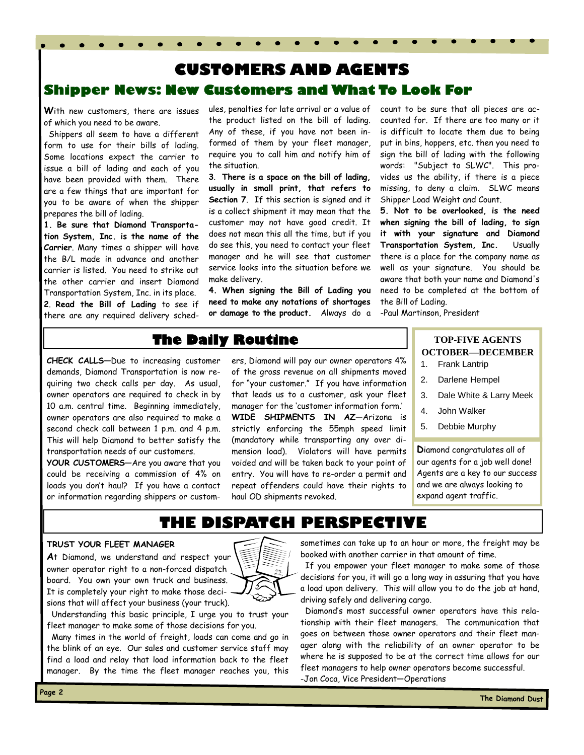### **Shipper News: New Customers and What To Look For CUSTOMERS AND AGENTS**

**W**ith new customers, there are issues of which you need to be aware.

 Shippers all seem to have a different form to use for their bills of lading. Some locations expect the carrier to issue a bill of lading and each of you have been provided with them. There are a few things that are important for you to be aware of when the shipper prepares the bill of lading.

**1. Be sure that Diamond Transportation System, Inc. is the name of the Carrier**. Many times a shipper will have the B/L made in advance and another carrier is listed. You need to strike out the other carrier and insert Diamond Transportation System, Inc. in its place.

**2**. **Read the Bill of Lading** to see if there are any required delivery schedules, penalties for late arrival or a value of the product listed on the bill of lading. Any of these, if you have not been informed of them by your fleet manager, require you to call him and notify him of the situation.

**3**. **There is a space on the bill of lading, usually in small print, that refers to Section 7**. If this section is signed and it is a collect shipment it may mean that the customer may not have good credit. It does not mean this all the time, but if you do see this, you need to contact your fleet manager and he will see that customer service looks into the situation before we make delivery.

**4. When signing the Bill of Lading you need to make any notations of shortages or damage to the product.** Always do a count to be sure that all pieces are accounted for. If there are too many or it is difficult to locate them due to being put in bins, hoppers, etc. then you need to sign the bill of lading with the following words: "Subject to SLWC". This provides us the ability, if there is a piece missing, to deny a claim. SLWC means Shipper Load Weight and Count.

**5. Not to be overlooked, is the need when signing the bill of lading, to sign it with your signature and Diamond Transportation System, Inc.** Usually there is a place for the company name as well as your signature. You should be aware that both your name and Diamond's need to be completed at the bottom of the Bill of Lading.

-Paul Martinson, President

### **The Daily Routine**

**CHECK CALLS—**Due to increasing customer demands, Diamond Transportation is now requiring two check calls per day. As usual, owner operators are required to check in by 10 a.m. central time. Beginning immediately, owner operators are also required to make a second check call between 1 p.m. and 4 p.m. This will help Diamond to better satisfy the transportation needs of our customers.

**YOUR CUSTOMERS—**Are you aware that you could be receiving a commission of 4% on loads you don't haul? If you have a contact or information regarding shippers or customers, Diamond will pay our owner operators 4% of the gross revenue on all shipments moved for "your customer." If you have information that leads us to a customer, ask your fleet manager for the 'customer information form.' **WIDE SHIPMENTS IN AZ—**Arizona is strictly enforcing the 55mph speed limit (mandatory while transporting any over dimension load). Violators will have permits voided and will be taken back to your point of entry. You will have to re-order a permit and repeat offenders could have their rights to haul OD shipments revoked.

#### **TOP-FIVE AGENTS OCTOBER—DECEMBER**

- 1. Frank Lantrip
- 2. Darlene Hempel
- 3. Dale White & Larry Meek
- 4. John Walker
- 5. Debbie Murphy

**D**iamond congratulates all of our agents for a job well done! Agents are a key to our success and we are always looking to expand agent traffic.

### **THE DISPATCH PERSPECTIVE**

#### **TRUST YOUR FLEET MANAGER**

**A**t Diamond, we understand and respect your owner operator right to a non-forced dispatch board. You own your own truck and business. It is completely your right to make those decisions that will affect your business (your truck).



 Understanding this basic principle, I urge you to trust your fleet manager to make some of those decisions for you.

 Many times in the world of freight, loads can come and go in the blink of an eye. Our sales and customer service staff may find a load and relay that load information back to the fleet manager. By the time the fleet manager reaches you, this

sometimes can take up to an hour or more, the freight may be booked with another carrier in that amount of time.

 If you empower your fleet manager to make some of those decisions for you, it will go a long way in assuring that you have a load upon delivery. This will allow you to do the job at hand, driving safely and delivering cargo.

 Diamond's most successful owner operators have this relationship with their fleet managers. The communication that goes on between those owner operators and their fleet manager along with the reliability of an owner operator to be where he is supposed to be at the correct time allows for our fleet managers to help owner operators become successful. -Jon Coca, Vice President—Operations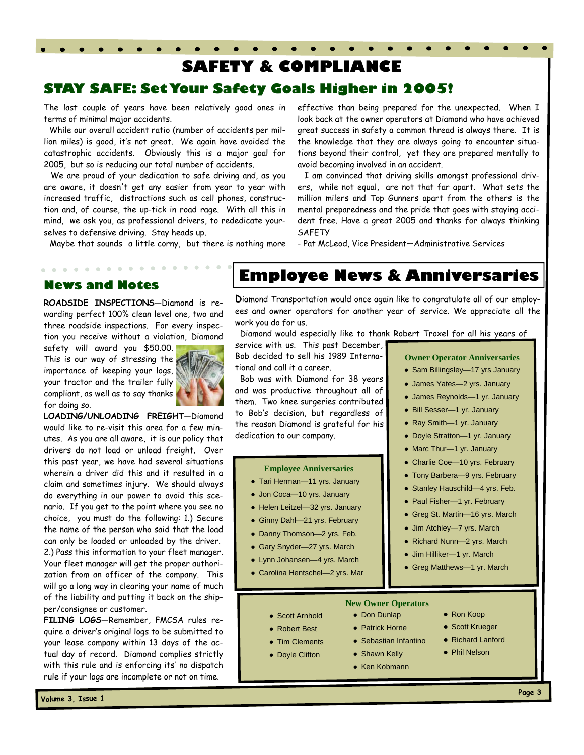### **SAFETY & COMPLIANCE**

### **STAY SAFE: Set Your Safety Goals Higher in 2005!**

The last couple of years have been relatively good ones in terms of minimal major accidents.

 While our overall accident ratio (number of accidents per million miles) is good, it's not great. We again have avoided the catastrophic accidents. Obviously this is a major goal for 2005, but so is reducing our total number of accidents.

 We are proud of your dedication to safe driving and, as you are aware, it doesn't get any easier from year to year with increased traffic, distractions such as cell phones, construction and, of course, the up-tick in road rage. With all this in mind, we ask you, as professional drivers, to rededicate yourselves to defensive driving. Stay heads up.

Maybe that sounds a little corny, but there is nothing more

effective than being prepared for the unexpected. When I look back at the owner operators at Diamond who have achieved great success in safety a common thread is always there. It is the knowledge that they are always going to encounter situations beyond their control, yet they are prepared mentally to avoid becoming involved in an accident.

 I am convinced that driving skills amongst professional drivers, while not equal, are not that far apart. What sets the million milers and Top Gunners apart from the others is the mental preparedness and the pride that goes with staying accident free. Have a great 2005 and thanks for always thinking SAFETY

- Pat McLeod, Vice President—Administrative Services

#### **News and Notes**

**ROADSIDE INSPECTIONS—**Diamond is rewarding perfect 100% clean level one, two and three roadside inspections. For every inspection you receive without a violation, Diamond

safety will award you \$50.00. This is our way of stressing the importance of keeping your logs, your tractor and the trailer fully compliant, as well as to say thanks for doing so.



**FILING LOGS—**Remember, FMCSA rules require a driver's original logs to be submitted to your lease company within 13 days of the actual day of record. Diamond complies strictly with this rule and is enforcing its' no dispatch rule if your logs are incomplete or not on time.

### **Employee News & Anniversaries**

**D**iamond Transportation would once again like to congratulate all of our employees and owner operators for another year of service. We appreciate all the work you do for us.

Diamond would especially like to thank Robert Troxel for all his years of

service with us. This past December, Bob decided to sell his 1989 International and call it a career.

 Bob was with Diamond for 38 years and was productive throughout all of them. Two knee surgeries contributed to Bob's decision, but regardless of the reason Diamond is grateful for his dedication to our company.

#### **Employee Anniversaries**

- Tari Herman—11 yrs. January
- Jon Coca-10 yrs. January
- Helen Leitzel—32 yrs. January
- Ginny Dahl-21 yrs. February
- Danny Thomson-2 yrs. Feb.
- Gary Snyder-27 yrs. March
- Lynn Johansen—4 yrs. March

#### • Carolina Hentschel-2 yrs. Mar

**Owner Operator Anniversaries** 

- Sam Billingsley-17 yrs January
- James Yates—2 yrs. January
- James Reynolds—1 yr. January
- Bill Sesser—1 yr. January
- Ray Smith—1 yr. January
- Doyle Stratton—1 yr. January
- Marc Thur—1 yr. January
- Charlie Coe—10 yrs. February
- Tony Barbera—9 yrs. February
- Stanley Hauschild-4 yrs. Feb.
- Paul Fisher—1 yr. February
- Greg St. Martin—16 yrs. March
- Jim Atchley—7 yrs. March
- Richard Nunn—2 yrs. March
- Jim Hilliker—1 yr. March
- Greg Matthews-1 yr. March

#### **New Owner Operators**  ● Don Dunlap

● Patrick Horne ● Sebastian Infantino • Shawn Kelly ● Ken Kobmann

- 
- 
- 
- Doyle Clifton
- Ron Koop
	- Scott Krueger
	- Richard Lanford
	- Phil Nelson
- **Page 3**



- 
- Scott Arnhold
- Robert Best

● Tim Clements